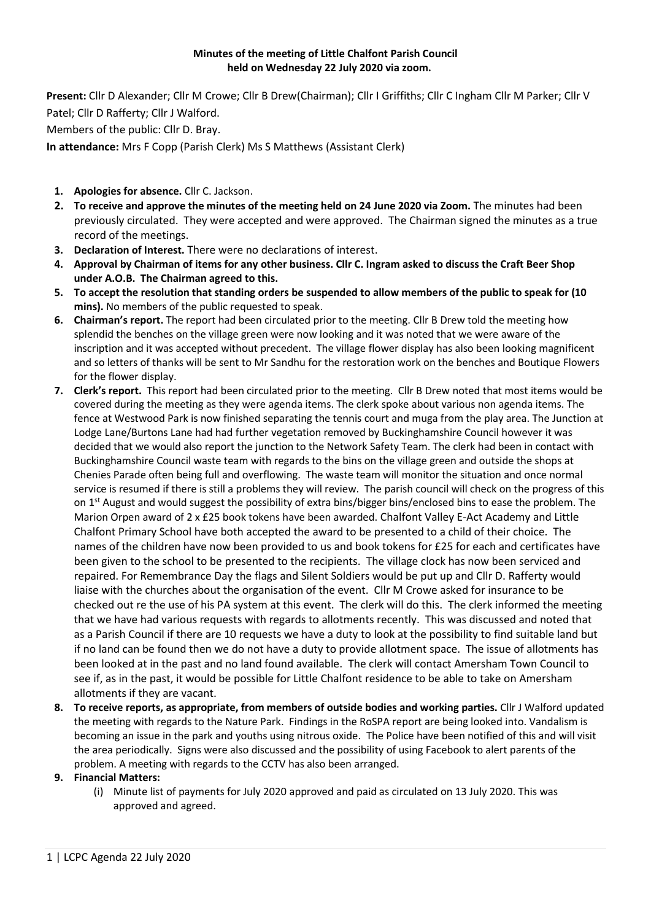## **Minutes of the meeting of Little Chalfont Parish Council held on Wednesday 22 July 2020 via zoom.**

**Present:** Cllr D Alexander; Cllr M Crowe; Cllr B Drew(Chairman); Cllr I Griffiths; Cllr C Ingham Cllr M Parker; Cllr V Patel; Cllr D Rafferty; Cllr J Walford. Members of the public: Cllr D. Bray.

**In attendance:** Mrs F Copp (Parish Clerk) Ms S Matthews (Assistant Clerk)

- **1. Apologies for absence.** Cllr C. Jackson.
- **2. To receive and approve the minutes of the meeting held on 24 June 2020 via Zoom.** The minutes had been previously circulated. They were accepted and were approved. The Chairman signed the minutes as a true record of the meetings.
- **3. Declaration of Interest.** There were no declarations of interest.
- **4. Approval by Chairman of items for any other business. Cllr C. Ingram asked to discuss the Craft Beer Shop under A.O.B. The Chairman agreed to this.**
- **5. To accept the resolution that standing orders be suspended to allow members of the public to speak for (10 mins).** No members of the public requested to speak.
- **6. Chairman's report.** The report had been circulated prior to the meeting. Cllr B Drew told the meeting how splendid the benches on the village green were now looking and it was noted that we were aware of the inscription and it was accepted without precedent. The village flower display has also been looking magnificent and so letters of thanks will be sent to Mr Sandhu for the restoration work on the benches and Boutique Flowers for the flower display.
- **7. Clerk's report.** This report had been circulated prior to the meeting. Cllr B Drew noted that most items would be covered during the meeting as they were agenda items. The clerk spoke about various non agenda items. The fence at Westwood Park is now finished separating the tennis court and muga from the play area. The Junction at Lodge Lane/Burtons Lane had had further vegetation removed by Buckinghamshire Council however it was decided that we would also report the junction to the Network Safety Team. The clerk had been in contact with Buckinghamshire Council waste team with regards to the bins on the village green and outside the shops at Chenies Parade often being full and overflowing. The waste team will monitor the situation and once normal service is resumed if there is still a problems they will review. The parish council will check on the progress of this on 1<sup>st</sup> August and would suggest the possibility of extra bins/bigger bins/enclosed bins to ease the problem. The Marion Orpen award of 2 x £25 book tokens have been awarded. Chalfont Valley E-Act Academy and Little Chalfont Primary School have both accepted the award to be presented to a child of their choice. The names of the children have now been provided to us and book tokens for £25 for each and certificates have been given to the school to be presented to the recipients. The village clock has now been serviced and repaired. For Remembrance Day the flags and Silent Soldiers would be put up and Cllr D. Rafferty would liaise with the churches about the organisation of the event. Cllr M Crowe asked for insurance to be checked out re the use of his PA system at this event. The clerk will do this. The clerk informed the meeting that we have had various requests with regards to allotments recently. This was discussed and noted that as a Parish Council if there are 10 requests we have a duty to look at the possibility to find suitable land but if no land can be found then we do not have a duty to provide allotment space. The issue of allotments has been looked at in the past and no land found available. The clerk will contact Amersham Town Council to see if, as in the past, it would be possible for Little Chalfont residence to be able to take on Amersham allotments if they are vacant.
- **8. To receive reports, as appropriate, from members of outside bodies and working parties.** Cllr J Walford updated the meeting with regards to the Nature Park. Findings in the RoSPA report are being looked into. Vandalism is becoming an issue in the park and youths using nitrous oxide. The Police have been notified of this and will visit the area periodically. Signs were also discussed and the possibility of using Facebook to alert parents of the problem. A meeting with regards to the CCTV has also been arranged.

## **9. Financial Matters:**

(i) Minute list of payments for July 2020 approved and paid as circulated on 13 July 2020. This was approved and agreed.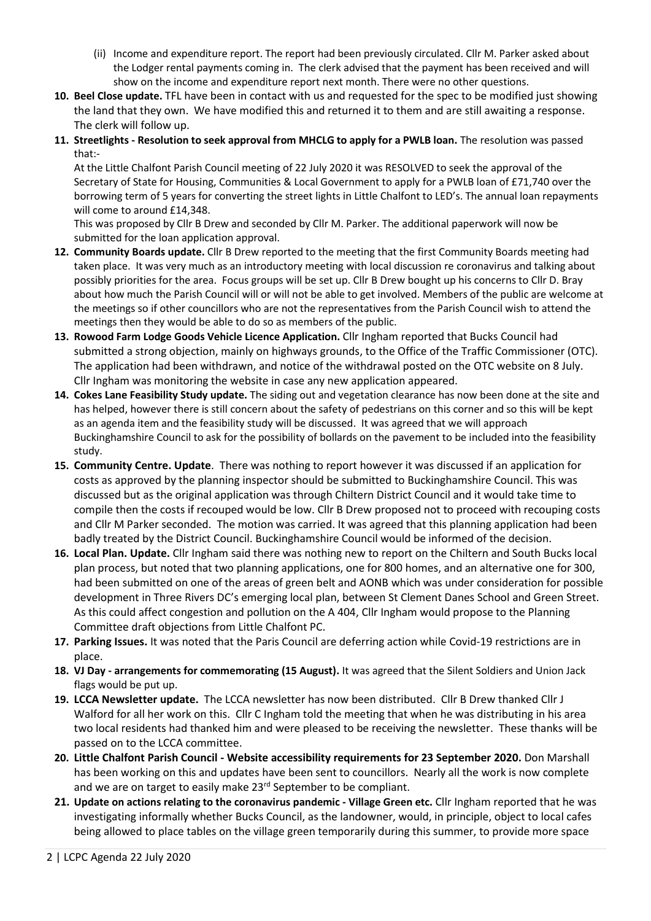- (ii) Income and expenditure report. The report had been previously circulated. Cllr M. Parker asked about the Lodger rental payments coming in. The clerk advised that the payment has been received and will show on the income and expenditure report next month. There were no other questions.
- **10. Beel Close update.** TFL have been in contact with us and requested for the spec to be modified just showing the land that they own. We have modified this and returned it to them and are still awaiting a response. The clerk will follow up.
- **11. Streetlights - Resolution to seek approval from MHCLG to apply for a PWLB loan.** The resolution was passed that:-

At the Little Chalfont Parish Council meeting of 22 July 2020 it was RESOLVED to seek the approval of the Secretary of State for Housing, Communities & Local Government to apply for a PWLB loan of £71,740 over the borrowing term of 5 years for converting the street lights in Little Chalfont to LED's. The annual loan repayments will come to around £14,348.

This was proposed by Cllr B Drew and seconded by Cllr M. Parker. The additional paperwork will now be submitted for the loan application approval.

- **12. Community Boards update.** Cllr B Drew reported to the meeting that the first Community Boards meeting had taken place. It was very much as an introductory meeting with local discussion re coronavirus and talking about possibly priorities for the area. Focus groups will be set up. Cllr B Drew bought up his concerns to Cllr D. Bray about how much the Parish Council will or will not be able to get involved. Members of the public are welcome at the meetings so if other councillors who are not the representatives from the Parish Council wish to attend the meetings then they would be able to do so as members of the public.
- **13. Rowood Farm Lodge Goods Vehicle Licence Application.** Cllr Ingham reported that Bucks Council had submitted a strong objection, mainly on highways grounds, to the Office of the Traffic Commissioner (OTC). The application had been withdrawn, and notice of the withdrawal posted on the OTC website on 8 July. Cllr Ingham was monitoring the website in case any new application appeared.
- **14. Cokes Lane Feasibility Study update.** The siding out and vegetation clearance has now been done at the site and has helped, however there is still concern about the safety of pedestrians on this corner and so this will be kept as an agenda item and the feasibility study will be discussed. It was agreed that we will approach Buckinghamshire Council to ask for the possibility of bollards on the pavement to be included into the feasibility study.
- **15. Community Centre. Update**. There was nothing to report however it was discussed if an application for costs as approved by the planning inspector should be submitted to Buckinghamshire Council. This was discussed but as the original application was through Chiltern District Council and it would take time to compile then the costs if recouped would be low. Cllr B Drew proposed not to proceed with recouping costs and Cllr M Parker seconded. The motion was carried. It was agreed that this planning application had been badly treated by the District Council. Buckinghamshire Council would be informed of the decision.
- **16. Local Plan. Update.** Cllr Ingham said there was nothing new to report on the Chiltern and South Bucks local plan process, but noted that two planning applications, one for 800 homes, and an alternative one for 300, had been submitted on one of the areas of green belt and AONB which was under consideration for possible development in Three Rivers DC's emerging local plan, between St Clement Danes School and Green Street. As this could affect congestion and pollution on the A 404, Cllr Ingham would propose to the Planning Committee draft objections from Little Chalfont PC.
- **17. Parking Issues.** It was noted that the Paris Council are deferring action while Covid-19 restrictions are in place.
- **18. VJ Day - arrangements for commemorating (15 August).** It was agreed that the Silent Soldiers and Union Jack flags would be put up.
- **19. LCCA Newsletter update.** The LCCA newsletter has now been distributed. Cllr B Drew thanked Cllr J Walford for all her work on this. Cllr C Ingham told the meeting that when he was distributing in his area two local residents had thanked him and were pleased to be receiving the newsletter. These thanks will be passed on to the LCCA committee.
- **20. Little Chalfont Parish Council - Website accessibility requirements for 23 September 2020.** Don Marshall has been working on this and updates have been sent to councillors. Nearly all the work is now complete and we are on target to easily make 23<sup>rd</sup> September to be compliant.
- **21. Update on actions relating to the coronavirus pandemic - Village Green etc.** Cllr Ingham reported that he was investigating informally whether Bucks Council, as the landowner, would, in principle, object to local cafes being allowed to place tables on the village green temporarily during this summer, to provide more space